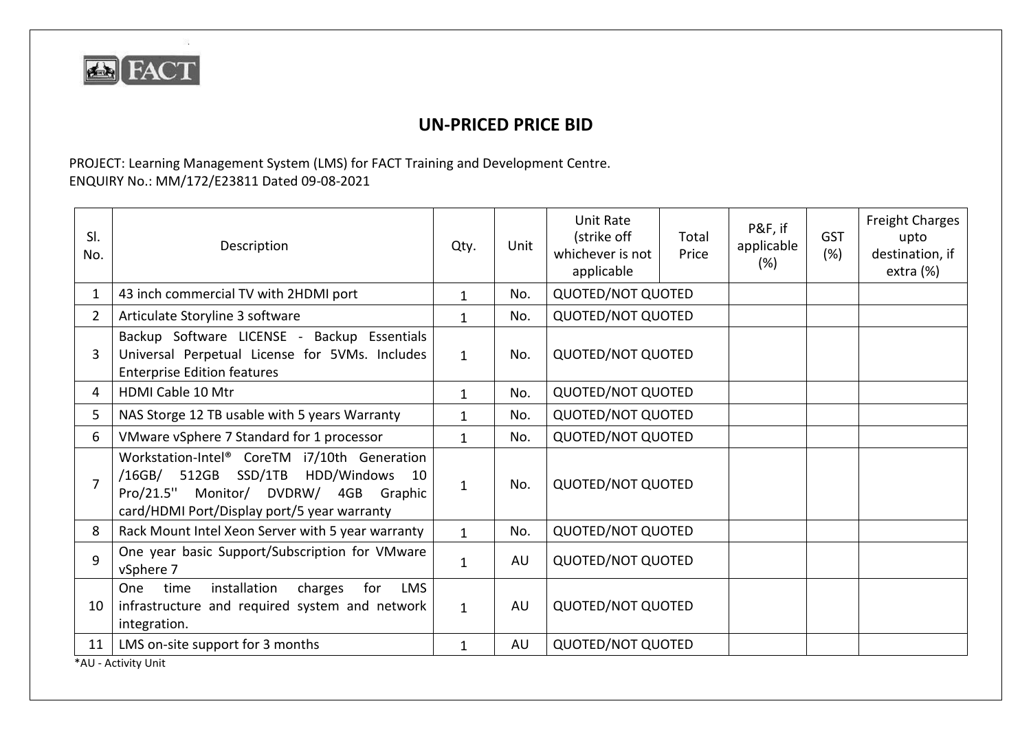

32

## **UN-PRICED PRICE BID**

PROJECT: Learning Management System (LMS) for FACT Training and Development Centre. ENQUIRY No.: MM/172/E23811 Dated 09-08-2021

| SI.<br>No.   | Description                                                                                                                                                                    | Qty.         | Unit | <b>Unit Rate</b><br>(strike off<br>whichever is not<br>applicable | Total<br>Price | P&F, if<br>applicable<br>(%) | <b>GST</b><br>(%) | <b>Freight Charges</b><br>upto<br>destination, if<br>extra (%) |  |
|--------------|--------------------------------------------------------------------------------------------------------------------------------------------------------------------------------|--------------|------|-------------------------------------------------------------------|----------------|------------------------------|-------------------|----------------------------------------------------------------|--|
| 1            | 43 inch commercial TV with 2HDMI port                                                                                                                                          | $\mathbf{1}$ | No.  | <b>QUOTED/NOT QUOTED</b>                                          |                |                              |                   |                                                                |  |
| $\mathbf{2}$ | Articulate Storyline 3 software                                                                                                                                                | $\mathbf{1}$ | No.  | <b>QUOTED/NOT QUOTED</b>                                          |                |                              |                   |                                                                |  |
| 3            | Backup Software LICENSE - Backup Essentials<br>Universal Perpetual License for 5VMs. Includes<br><b>Enterprise Edition features</b>                                            | $\mathbf{1}$ | No.  | <b>QUOTED/NOT QUOTED</b>                                          |                |                              |                   |                                                                |  |
| 4            | <b>HDMI Cable 10 Mtr</b>                                                                                                                                                       | $\mathbf{1}$ | No.  | <b>QUOTED/NOT QUOTED</b>                                          |                |                              |                   |                                                                |  |
| 5            | NAS Storge 12 TB usable with 5 years Warranty                                                                                                                                  | $\mathbf{1}$ | No.  | <b>QUOTED/NOT QUOTED</b>                                          |                |                              |                   |                                                                |  |
| 6            | VMware vSphere 7 Standard for 1 processor                                                                                                                                      | $\mathbf{1}$ | No.  | <b>QUOTED/NOT QUOTED</b>                                          |                |                              |                   |                                                                |  |
|              | Workstation-Intel® CoreTM i7/10th Generation<br>/16GB/ 512GB SSD/1TB HDD/Windows<br>10<br>Pro/21.5" Monitor/ DVDRW/ 4GB Graphic<br>card/HDMI Port/Display port/5 year warranty | $\mathbf{1}$ | No.  | <b>QUOTED/NOT QUOTED</b>                                          |                |                              |                   |                                                                |  |
| 8            | Rack Mount Intel Xeon Server with 5 year warranty                                                                                                                              | $\mathbf{1}$ | No.  | <b>QUOTED/NOT QUOTED</b>                                          |                |                              |                   |                                                                |  |
| 9            | One year basic Support/Subscription for VMware<br>vSphere 7                                                                                                                    | $\mathbf{1}$ | AU   | <b>QUOTED/NOT QUOTED</b>                                          |                |                              |                   |                                                                |  |
| 10           | installation<br>time<br>charges<br><b>LMS</b><br><b>One</b><br>for<br>infrastructure and required system and network<br>integration.                                           | $\mathbf{1}$ | AU   | <b>QUOTED/NOT QUOTED</b>                                          |                |                              |                   |                                                                |  |
| 11           | LMS on-site support for 3 months                                                                                                                                               | $\mathbf{1}$ | AU   | <b>QUOTED/NOT QUOTED</b>                                          |                |                              |                   |                                                                |  |
|              | *AU - Activity Unit                                                                                                                                                            |              |      |                                                                   |                |                              |                   |                                                                |  |